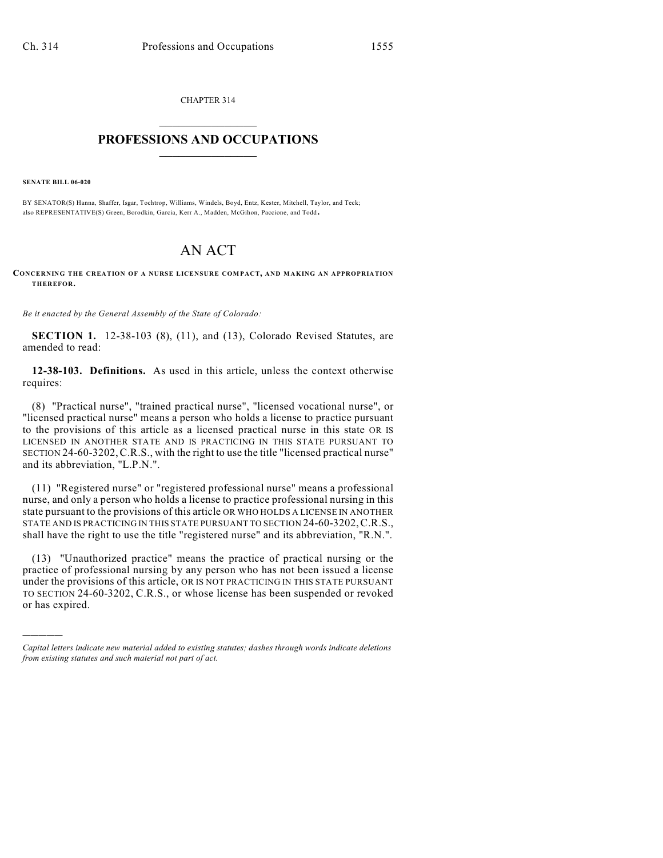CHAPTER 314  $\mathcal{L}_\text{max}$  . The set of the set of the set of the set of the set of the set of the set of the set of the set of the set of the set of the set of the set of the set of the set of the set of the set of the set of the set

# **PROFESSIONS AND OCCUPATIONS**  $\frac{1}{2}$  ,  $\frac{1}{2}$  ,  $\frac{1}{2}$  ,  $\frac{1}{2}$  ,  $\frac{1}{2}$  ,  $\frac{1}{2}$

**SENATE BILL 06-020**

)))))

BY SENATOR(S) Hanna, Shaffer, Isgar, Tochtrop, Williams, Windels, Boyd, Entz, Kester, Mitchell, Taylor, and Teck; also REPRESENTATIVE(S) Green, Borodkin, Garcia, Kerr A., Madden, McGihon, Paccione, and Todd.

# AN ACT

**CONCERNING THE CREATION OF A NURSE LICENSURE COMPACT, AND MAKING AN APPROPRIATION THEREFOR.**

*Be it enacted by the General Assembly of the State of Colorado:*

**SECTION 1.** 12-38-103 (8), (11), and (13), Colorado Revised Statutes, are amended to read:

**12-38-103. Definitions.** As used in this article, unless the context otherwise requires:

(8) "Practical nurse", "trained practical nurse", "licensed vocational nurse", or "licensed practical nurse" means a person who holds a license to practice pursuant to the provisions of this article as a licensed practical nurse in this state OR IS LICENSED IN ANOTHER STATE AND IS PRACTICING IN THIS STATE PURSUANT TO SECTION 24-60-3202,C.R.S., with the right to use the title "licensed practical nurse" and its abbreviation, "L.P.N.".

(11) "Registered nurse" or "registered professional nurse" means a professional nurse, and only a person who holds a license to practice professional nursing in this state pursuant to the provisions of this article OR WHO HOLDS A LICENSE IN ANOTHER STATE AND IS PRACTICING IN THIS STATE PURSUANT TO SECTION 24-60-3202,C.R.S., shall have the right to use the title "registered nurse" and its abbreviation, "R.N.".

(13) "Unauthorized practice" means the practice of practical nursing or the practice of professional nursing by any person who has not been issued a license under the provisions of this article, OR IS NOT PRACTICING IN THIS STATE PURSUANT TO SECTION 24-60-3202, C.R.S., or whose license has been suspended or revoked or has expired.

*Capital letters indicate new material added to existing statutes; dashes through words indicate deletions from existing statutes and such material not part of act.*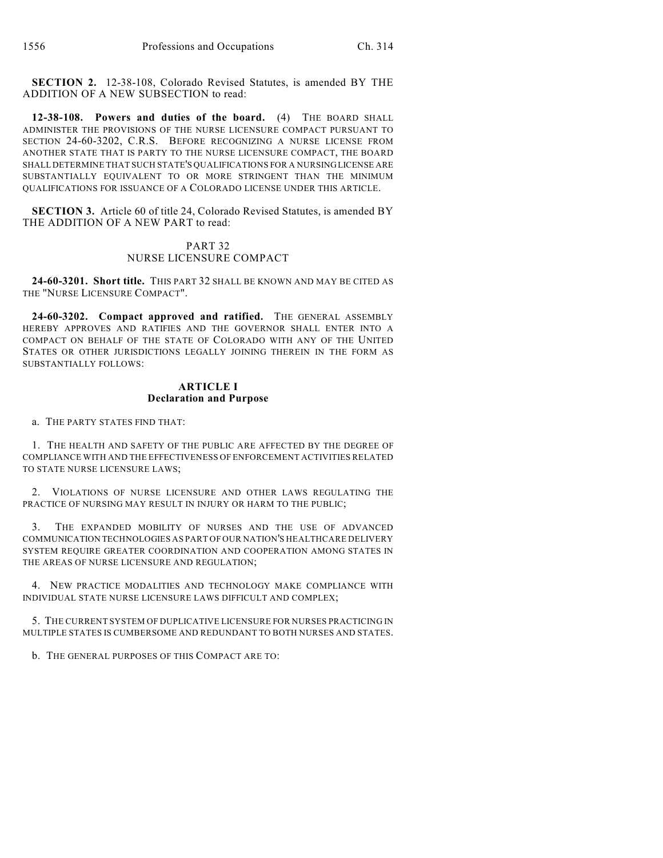**SECTION 2.** 12-38-108, Colorado Revised Statutes, is amended BY THE ADDITION OF A NEW SUBSECTION to read:

**12-38-108. Powers and duties of the board.** (4) THE BOARD SHALL ADMINISTER THE PROVISIONS OF THE NURSE LICENSURE COMPACT PURSUANT TO SECTION 24-60-3202, C.R.S. BEFORE RECOGNIZING A NURSE LICENSE FROM ANOTHER STATE THAT IS PARTY TO THE NURSE LICENSURE COMPACT, THE BOARD SHALL DETERMINE THAT SUCH STATE'S QUALIFICATIONS FOR A NURSING LICENSE ARE SUBSTANTIALLY EQUIVALENT TO OR MORE STRINGENT THAN THE MINIMUM QUALIFICATIONS FOR ISSUANCE OF A COLORADO LICENSE UNDER THIS ARTICLE.

**SECTION 3.** Article 60 of title 24, Colorado Revised Statutes, is amended BY THE ADDITION OF A NEW PART to read:

## PART 32 NURSE LICENSURE COMPACT

**24-60-3201. Short title.** THIS PART 32 SHALL BE KNOWN AND MAY BE CITED AS THE "NURSE LICENSURE COMPACT".

**24-60-3202. Compact approved and ratified.** THE GENERAL ASSEMBLY HEREBY APPROVES AND RATIFIES AND THE GOVERNOR SHALL ENTER INTO A COMPACT ON BEHALF OF THE STATE OF COLORADO WITH ANY OF THE UNITED STATES OR OTHER JURISDICTIONS LEGALLY JOINING THEREIN IN THE FORM AS SUBSTANTIALLY FOLLOWS:

# **ARTICLE I Declaration and Purpose**

a. THE PARTY STATES FIND THAT:

1. THE HEALTH AND SAFETY OF THE PUBLIC ARE AFFECTED BY THE DEGREE OF COMPLIANCE WITH AND THE EFFECTIVENESS OF ENFORCEMENT ACTIVITIES RELATED TO STATE NURSE LICENSURE LAWS;

2. VIOLATIONS OF NURSE LICENSURE AND OTHER LAWS REGULATING THE PRACTICE OF NURSING MAY RESULT IN INJURY OR HARM TO THE PUBLIC;

3. THE EXPANDED MOBILITY OF NURSES AND THE USE OF ADVANCED COMMUNICATION TECHNOLOGIES AS PART OF OUR NATION'S HEALTHCARE DELIVERY SYSTEM REQUIRE GREATER COORDINATION AND COOPERATION AMONG STATES IN THE AREAS OF NURSE LICENSURE AND REGULATION;

4. NEW PRACTICE MODALITIES AND TECHNOLOGY MAKE COMPLIANCE WITH INDIVIDUAL STATE NURSE LICENSURE LAWS DIFFICULT AND COMPLEX;

5. THE CURRENT SYSTEM OF DUPLICATIVE LICENSURE FOR NURSES PRACTICING IN MULTIPLE STATES IS CUMBERSOME AND REDUNDANT TO BOTH NURSES AND STATES.

b. THE GENERAL PURPOSES OF THIS COMPACT ARE TO: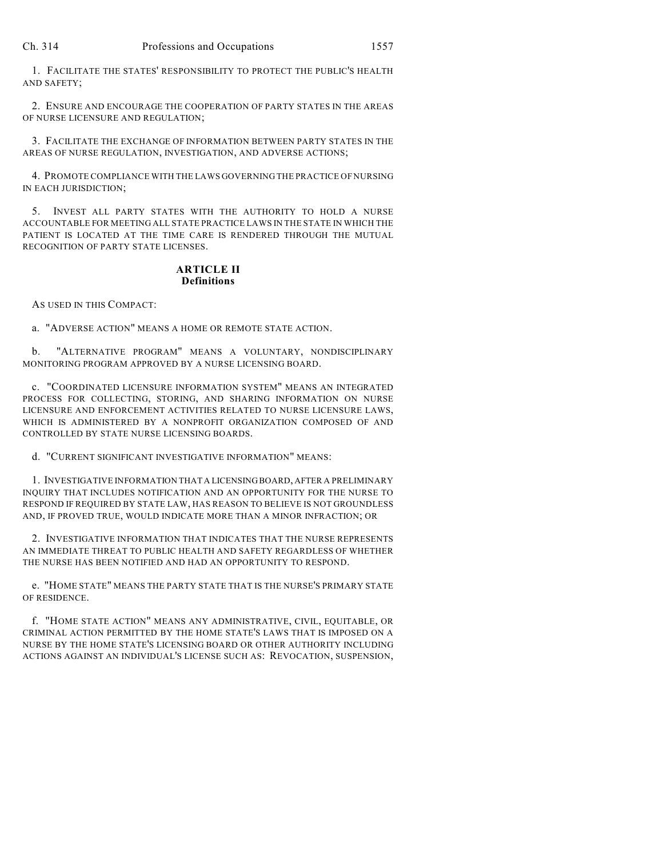1. FACILITATE THE STATES' RESPONSIBILITY TO PROTECT THE PUBLIC'S HEALTH AND SAFETY;

2. ENSURE AND ENCOURAGE THE COOPERATION OF PARTY STATES IN THE AREAS OF NURSE LICENSURE AND REGULATION;

3. FACILITATE THE EXCHANGE OF INFORMATION BETWEEN PARTY STATES IN THE AREAS OF NURSE REGULATION, INVESTIGATION, AND ADVERSE ACTIONS;

4. PROMOTE COMPLIANCE WITH THE LAWS GOVERNING THE PRACTICE OF NURSING IN EACH JURISDICTION;

5. INVEST ALL PARTY STATES WITH THE AUTHORITY TO HOLD A NURSE ACCOUNTABLE FOR MEETING ALL STATE PRACTICE LAWS IN THE STATE IN WHICH THE PATIENT IS LOCATED AT THE TIME CARE IS RENDERED THROUGH THE MUTUAL RECOGNITION OF PARTY STATE LICENSES.

## **ARTICLE II Definitions**

AS USED IN THIS COMPACT:

a. "ADVERSE ACTION" MEANS A HOME OR REMOTE STATE ACTION.

b. "ALTERNATIVE PROGRAM" MEANS A VOLUNTARY, NONDISCIPLINARY MONITORING PROGRAM APPROVED BY A NURSE LICENSING BOARD.

c. "COORDINATED LICENSURE INFORMATION SYSTEM" MEANS AN INTEGRATED PROCESS FOR COLLECTING, STORING, AND SHARING INFORMATION ON NURSE LICENSURE AND ENFORCEMENT ACTIVITIES RELATED TO NURSE LICENSURE LAWS, WHICH IS ADMINISTERED BY A NONPROFIT ORGANIZATION COMPOSED OF AND CONTROLLED BY STATE NURSE LICENSING BOARDS.

d. "CURRENT SIGNIFICANT INVESTIGATIVE INFORMATION" MEANS:

1. INVESTIGATIVE INFORMATION THAT A LICENSING BOARD, AFTER A PRELIMINARY INQUIRY THAT INCLUDES NOTIFICATION AND AN OPPORTUNITY FOR THE NURSE TO RESPOND IF REQUIRED BY STATE LAW, HAS REASON TO BELIEVE IS NOT GROUNDLESS AND, IF PROVED TRUE, WOULD INDICATE MORE THAN A MINOR INFRACTION; OR

2. INVESTIGATIVE INFORMATION THAT INDICATES THAT THE NURSE REPRESENTS AN IMMEDIATE THREAT TO PUBLIC HEALTH AND SAFETY REGARDLESS OF WHETHER THE NURSE HAS BEEN NOTIFIED AND HAD AN OPPORTUNITY TO RESPOND.

e. "HOME STATE" MEANS THE PARTY STATE THAT IS THE NURSE'S PRIMARY STATE OF RESIDENCE.

f. "HOME STATE ACTION" MEANS ANY ADMINISTRATIVE, CIVIL, EQUITABLE, OR CRIMINAL ACTION PERMITTED BY THE HOME STATE'S LAWS THAT IS IMPOSED ON A NURSE BY THE HOME STATE'S LICENSING BOARD OR OTHER AUTHORITY INCLUDING ACTIONS AGAINST AN INDIVIDUAL'S LICENSE SUCH AS: REVOCATION, SUSPENSION,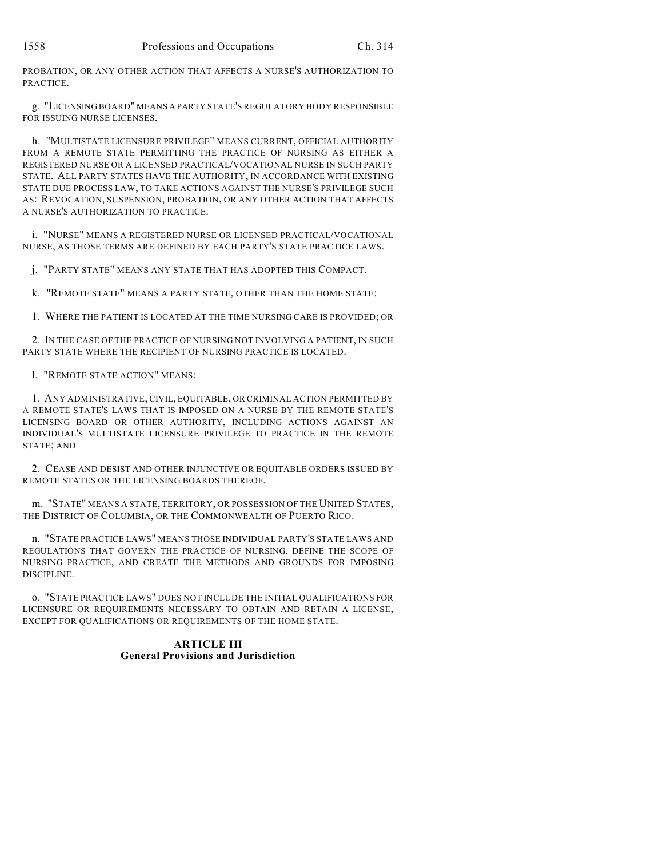PROBATION, OR ANY OTHER ACTION THAT AFFECTS A NURSE'S AUTHORIZATION TO PRACTICE.

g. "LICENSING BOARD" MEANS A PARTY STATE'S REGULATORY BODY RESPONSIBLE FOR ISSUING NURSE LICENSES.

h. "MULTISTATE LICENSURE PRIVILEGE" MEANS CURRENT, OFFICIAL AUTHORITY FROM A REMOTE STATE PERMITTING THE PRACTICE OF NURSING AS EITHER A REGISTERED NURSE OR A LICENSED PRACTICAL/VOCATIONAL NURSE IN SUCH PARTY STATE. ALL PARTY STATES HAVE THE AUTHORITY, IN ACCORDANCE WITH EXISTING STATE DUE PROCESS LAW, TO TAKE ACTIONS AGAINST THE NURSE'S PRIVILEGE SUCH AS: REVOCATION, SUSPENSION, PROBATION, OR ANY OTHER ACTION THAT AFFECTS A NURSE'S AUTHORIZATION TO PRACTICE.

i. "NURSE" MEANS A REGISTERED NURSE OR LICENSED PRACTICAL/VOCATIONAL NURSE, AS THOSE TERMS ARE DEFINED BY EACH PARTY'S STATE PRACTICE LAWS.

j. "PARTY STATE" MEANS ANY STATE THAT HAS ADOPTED THIS COMPACT.

k. "REMOTE STATE" MEANS A PARTY STATE, OTHER THAN THE HOME STATE:

1. WHERE THE PATIENT IS LOCATED AT THE TIME NURSING CARE IS PROVIDED; OR

2. IN THE CASE OF THE PRACTICE OF NURSING NOT INVOLVING A PATIENT, IN SUCH PARTY STATE WHERE THE RECIPIENT OF NURSING PRACTICE IS LOCATED.

l. "REMOTE STATE ACTION" MEANS:

1. ANY ADMINISTRATIVE, CIVIL, EQUITABLE, OR CRIMINAL ACTION PERMITTED BY A REMOTE STATE'S LAWS THAT IS IMPOSED ON A NURSE BY THE REMOTE STATE'S LICENSING BOARD OR OTHER AUTHORITY, INCLUDING ACTIONS AGAINST AN INDIVIDUAL'S MULTISTATE LICENSURE PRIVILEGE TO PRACTICE IN THE REMOTE STATE; AND

2. CEASE AND DESIST AND OTHER INJUNCTIVE OR EQUITABLE ORDERS ISSUED BY REMOTE STATES OR THE LICENSING BOARDS THEREOF.

m. "STATE" MEANS A STATE, TERRITORY, OR POSSESSION OF THE UNITED STATES, THE DISTRICT OF COLUMBIA, OR THE COMMONWEALTH OF PUERTO RICO.

n. "STATE PRACTICE LAWS" MEANS THOSE INDIVIDUAL PARTY'S STATE LAWS AND REGULATIONS THAT GOVERN THE PRACTICE OF NURSING, DEFINE THE SCOPE OF NURSING PRACTICE, AND CREATE THE METHODS AND GROUNDS FOR IMPOSING DISCIPLINE.

o. "STATE PRACTICE LAWS" DOES NOT INCLUDE THE INITIAL QUALIFICATIONS FOR LICENSURE OR REQUIREMENTS NECESSARY TO OBTAIN AND RETAIN A LICENSE, EXCEPT FOR QUALIFICATIONS OR REQUIREMENTS OF THE HOME STATE.

# **ARTICLE III General Provisions and Jurisdiction**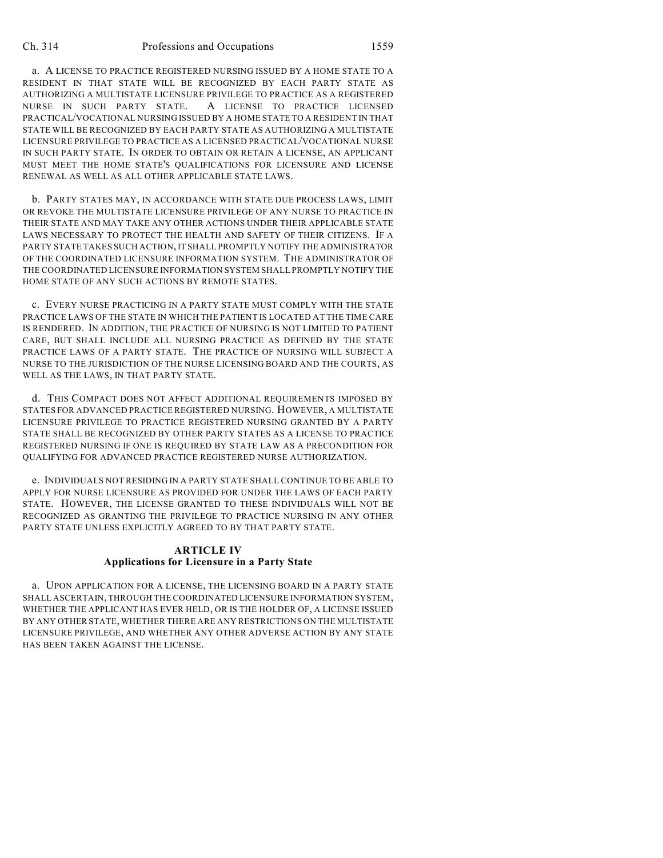a. A LICENSE TO PRACTICE REGISTERED NURSING ISSUED BY A HOME STATE TO A RESIDENT IN THAT STATE WILL BE RECOGNIZED BY EACH PARTY STATE AS AUTHORIZING A MULTISTATE LICENSURE PRIVILEGE TO PRACTICE AS A REGISTERED NURSE IN SUCH PARTY STATE. A LICENSE TO PRACTICE LICENSED PRACTICAL/VOCATIONAL NURSING ISSUED BY A HOME STATE TO A RESIDENT IN THAT STATE WILL BE RECOGNIZED BY EACH PARTY STATE AS AUTHORIZING A MULTISTATE LICENSURE PRIVILEGE TO PRACTICE AS A LICENSED PRACTICAL/VOCATIONAL NURSE IN SUCH PARTY STATE. IN ORDER TO OBTAIN OR RETAIN A LICENSE, AN APPLICANT MUST MEET THE HOME STATE'S QUALIFICATIONS FOR LICENSURE AND LICENSE RENEWAL AS WELL AS ALL OTHER APPLICABLE STATE LAWS.

b. PARTY STATES MAY, IN ACCORDANCE WITH STATE DUE PROCESS LAWS, LIMIT OR REVOKE THE MULTISTATE LICENSURE PRIVILEGE OF ANY NURSE TO PRACTICE IN THEIR STATE AND MAY TAKE ANY OTHER ACTIONS UNDER THEIR APPLICABLE STATE LAWS NECESSARY TO PROTECT THE HEALTH AND SAFETY OF THEIR CITIZENS. IF A PARTY STATE TAKES SUCH ACTION, IT SHALL PROMPTLY NOTIFY THE ADMINISTRATOR OF THE COORDINATED LICENSURE INFORMATION SYSTEM. THE ADMINISTRATOR OF THE COORDINATED LICENSURE INFORMATION SYSTEM SHALL PROMPTLY NOTIFY THE HOME STATE OF ANY SUCH ACTIONS BY REMOTE STATES.

c. EVERY NURSE PRACTICING IN A PARTY STATE MUST COMPLY WITH THE STATE PRACTICE LAWS OF THE STATE IN WHICH THE PATIENT IS LOCATED AT THE TIME CARE IS RENDERED. IN ADDITION, THE PRACTICE OF NURSING IS NOT LIMITED TO PATIENT CARE, BUT SHALL INCLUDE ALL NURSING PRACTICE AS DEFINED BY THE STATE PRACTICE LAWS OF A PARTY STATE. THE PRACTICE OF NURSING WILL SUBJECT A NURSE TO THE JURISDICTION OF THE NURSE LICENSING BOARD AND THE COURTS, AS WELL AS THE LAWS, IN THAT PARTY STATE.

d. THIS COMPACT DOES NOT AFFECT ADDITIONAL REQUIREMENTS IMPOSED BY STATES FOR ADVANCED PRACTICE REGISTERED NURSING. HOWEVER, A MULTISTATE LICENSURE PRIVILEGE TO PRACTICE REGISTERED NURSING GRANTED BY A PARTY STATE SHALL BE RECOGNIZED BY OTHER PARTY STATES AS A LICENSE TO PRACTICE REGISTERED NURSING IF ONE IS REQUIRED BY STATE LAW AS A PRECONDITION FOR QUALIFYING FOR ADVANCED PRACTICE REGISTERED NURSE AUTHORIZATION.

e. INDIVIDUALS NOT RESIDING IN A PARTY STATE SHALL CONTINUE TO BE ABLE TO APPLY FOR NURSE LICENSURE AS PROVIDED FOR UNDER THE LAWS OF EACH PARTY STATE. HOWEVER, THE LICENSE GRANTED TO THESE INDIVIDUALS WILL NOT BE RECOGNIZED AS GRANTING THE PRIVILEGE TO PRACTICE NURSING IN ANY OTHER PARTY STATE UNLESS EXPLICITLY AGREED TO BY THAT PARTY STATE.

#### **ARTICLE IV Applications for Licensure in a Party State**

a. UPON APPLICATION FOR A LICENSE, THE LICENSING BOARD IN A PARTY STATE SHALL ASCERTAIN, THROUGH THE COORDINATED LICENSURE INFORMATION SYSTEM, WHETHER THE APPLICANT HAS EVER HELD, OR IS THE HOLDER OF, A LICENSE ISSUED BY ANY OTHER STATE, WHETHER THERE ARE ANY RESTRICTIONS ON THE MULTISTATE LICENSURE PRIVILEGE, AND WHETHER ANY OTHER ADVERSE ACTION BY ANY STATE HAS BEEN TAKEN AGAINST THE LICENSE.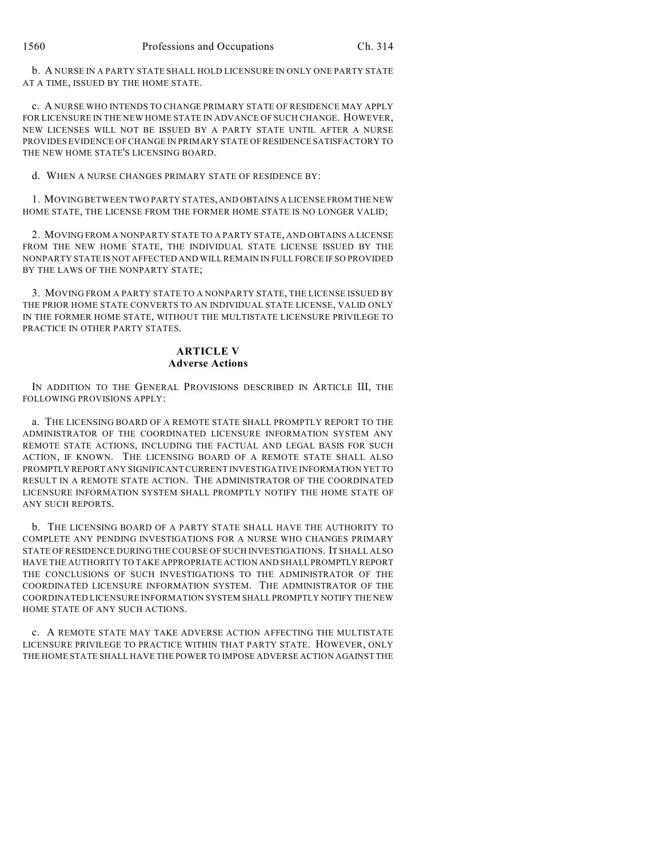b. A NURSE IN A PARTY STATE SHALL HOLD LICENSURE IN ONLY ONE PARTY STATE AT A TIME, ISSUED BY THE HOME STATE.

c. A NURSE WHO INTENDS TO CHANGE PRIMARY STATE OF RESIDENCE MAY APPLY FOR LICENSURE IN THE NEW HOME STATE IN ADVANCE OF SUCH CHANGE. HOWEVER, NEW LICENSES WILL NOT BE ISSUED BY A PARTY STATE UNTIL AFTER A NURSE PROVIDES EVIDENCE OF CHANGE IN PRIMARY STATE OF RESIDENCE SATISFACTORY TO THE NEW HOME STATE'S LICENSING BOARD.

d. WHEN A NURSE CHANGES PRIMARY STATE OF RESIDENCE BY:

1. MOVING BETWEEN TWO PARTY STATES, AND OBTAINS A LICENSE FROM THE NEW HOME STATE, THE LICENSE FROM THE FORMER HOME STATE IS NO LONGER VALID;

2. MOVING FROM A NONPARTY STATE TO A PARTY STATE, AND OBTAINS A LICENSE FROM THE NEW HOME STATE, THE INDIVIDUAL STATE LICENSE ISSUED BY THE NONPARTY STATE IS NOT AFFECTED AND WILL REMAIN IN FULL FORCE IF SO PROVIDED BY THE LAWS OF THE NONPARTY STATE;

3. MOVING FROM A PARTY STATE TO A NONPARTY STATE, THE LICENSE ISSUED BY THE PRIOR HOME STATE CONVERTS TO AN INDIVIDUAL STATE LICENSE, VALID ONLY IN THE FORMER HOME STATE, WITHOUT THE MULTISTATE LICENSURE PRIVILEGE TO PRACTICE IN OTHER PARTY STATES.

#### **ARTICLE V Adverse Actions**

IN ADDITION TO THE GENERAL PROVISIONS DESCRIBED IN ARTICLE III, THE FOLLOWING PROVISIONS APPLY:

a. THE LICENSING BOARD OF A REMOTE STATE SHALL PROMPTLY REPORT TO THE ADMINISTRATOR OF THE COORDINATED LICENSURE INFORMATION SYSTEM ANY REMOTE STATE ACTIONS, INCLUDING THE FACTUAL AND LEGAL BASIS FOR SUCH ACTION, IF KNOWN. THE LICENSING BOARD OF A REMOTE STATE SHALL ALSO PROMPTLY REPORT ANY SIGNIFICANT CURRENT INVESTIGATIVE INFORMATION YET TO RESULT IN A REMOTE STATE ACTION. THE ADMINISTRATOR OF THE COORDINATED LICENSURE INFORMATION SYSTEM SHALL PROMPTLY NOTIFY THE HOME STATE OF ANY SUCH REPORTS.

b. THE LICENSING BOARD OF A PARTY STATE SHALL HAVE THE AUTHORITY TO COMPLETE ANY PENDING INVESTIGATIONS FOR A NURSE WHO CHANGES PRIMARY STATE OF RESIDENCE DURING THE COURSE OF SUCH INVESTIGATIONS. IT SHALL ALSO HAVE THE AUTHORITY TO TAKE APPROPRIATE ACTION AND SHALL PROMPTLY REPORT THE CONCLUSIONS OF SUCH INVESTIGATIONS TO THE ADMINISTRATOR OF THE COORDINATED LICENSURE INFORMATION SYSTEM. THE ADMINISTRATOR OF THE COORDINATED LICENSURE INFORMATION SYSTEM SHALL PROMPTLY NOTIFY THE NEW HOME STATE OF ANY SUCH ACTIONS.

c. A REMOTE STATE MAY TAKE ADVERSE ACTION AFFECTING THE MULTISTATE LICENSURE PRIVILEGE TO PRACTICE WITHIN THAT PARTY STATE. HOWEVER, ONLY THE HOME STATE SHALL HAVE THE POWER TO IMPOSE ADVERSE ACTION AGAINST THE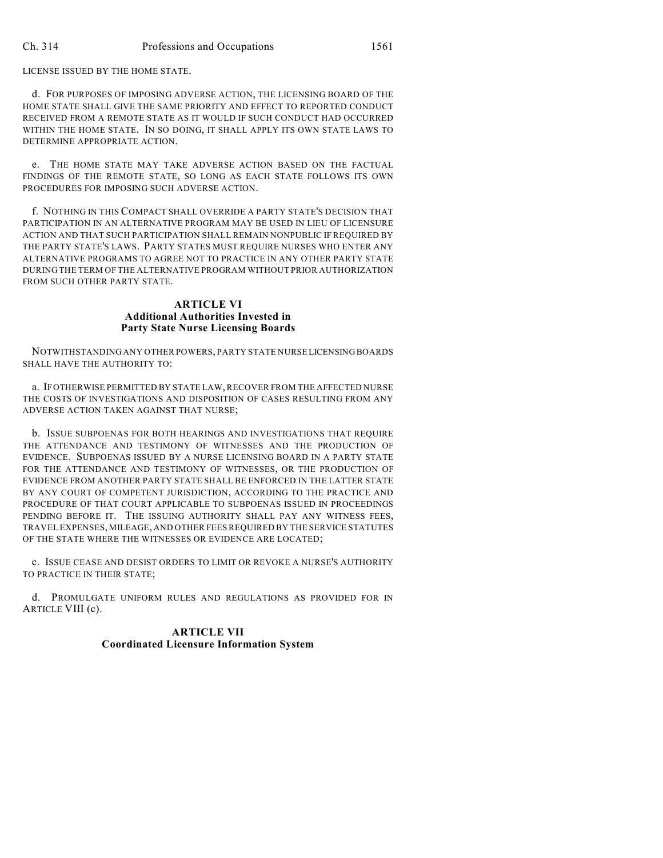LICENSE ISSUED BY THE HOME STATE.

d. FOR PURPOSES OF IMPOSING ADVERSE ACTION, THE LICENSING BOARD OF THE HOME STATE SHALL GIVE THE SAME PRIORITY AND EFFECT TO REPORTED CONDUCT RECEIVED FROM A REMOTE STATE AS IT WOULD IF SUCH CONDUCT HAD OCCURRED WITHIN THE HOME STATE. IN SO DOING, IT SHALL APPLY ITS OWN STATE LAWS TO DETERMINE APPROPRIATE ACTION.

e. THE HOME STATE MAY TAKE ADVERSE ACTION BASED ON THE FACTUAL FINDINGS OF THE REMOTE STATE, SO LONG AS EACH STATE FOLLOWS ITS OWN PROCEDURES FOR IMPOSING SUCH ADVERSE ACTION.

f. NOTHING IN THIS COMPACT SHALL OVERRIDE A PARTY STATE'S DECISION THAT PARTICIPATION IN AN ALTERNATIVE PROGRAM MAY BE USED IN LIEU OF LICENSURE ACTION AND THAT SUCH PARTICIPATION SHALL REMAIN NONPUBLIC IF REQUIRED BY THE PARTY STATE'S LAWS. PARTY STATES MUST REQUIRE NURSES WHO ENTER ANY ALTERNATIVE PROGRAMS TO AGREE NOT TO PRACTICE IN ANY OTHER PARTY STATE DURING THE TERM OF THE ALTERNATIVE PROGRAM WITHOUT PRIOR AUTHORIZATION FROM SUCH OTHER PARTY STATE.

# **ARTICLE VI Additional Authorities Invested in Party State Nurse Licensing Boards**

NOTWITHSTANDING ANY OTHER POWERS, PARTY STATE NURSE LICENSING BOARDS SHALL HAVE THE AUTHORITY TO:

a. IF OTHERWISE PERMITTED BY STATE LAW, RECOVER FROM THE AFFECTED NURSE THE COSTS OF INVESTIGATIONS AND DISPOSITION OF CASES RESULTING FROM ANY ADVERSE ACTION TAKEN AGAINST THAT NURSE;

b. ISSUE SUBPOENAS FOR BOTH HEARINGS AND INVESTIGATIONS THAT REQUIRE THE ATTENDANCE AND TESTIMONY OF WITNESSES AND THE PRODUCTION OF EVIDENCE. SUBPOENAS ISSUED BY A NURSE LICENSING BOARD IN A PARTY STATE FOR THE ATTENDANCE AND TESTIMONY OF WITNESSES, OR THE PRODUCTION OF EVIDENCE FROM ANOTHER PARTY STATE SHALL BE ENFORCED IN THE LATTER STATE BY ANY COURT OF COMPETENT JURISDICTION, ACCORDING TO THE PRACTICE AND PROCEDURE OF THAT COURT APPLICABLE TO SUBPOENAS ISSUED IN PROCEEDINGS PENDING BEFORE IT. THE ISSUING AUTHORITY SHALL PAY ANY WITNESS FEES, TRAVEL EXPENSES, MILEAGE, AND OTHER FEES REQUIRED BY THE SERVICE STATUTES OF THE STATE WHERE THE WITNESSES OR EVIDENCE ARE LOCATED;

c. ISSUE CEASE AND DESIST ORDERS TO LIMIT OR REVOKE A NURSE'S AUTHORITY TO PRACTICE IN THEIR STATE;

d. PROMULGATE UNIFORM RULES AND REGULATIONS AS PROVIDED FOR IN ARTICLE VIII (c).

## **ARTICLE VII Coordinated Licensure Information System**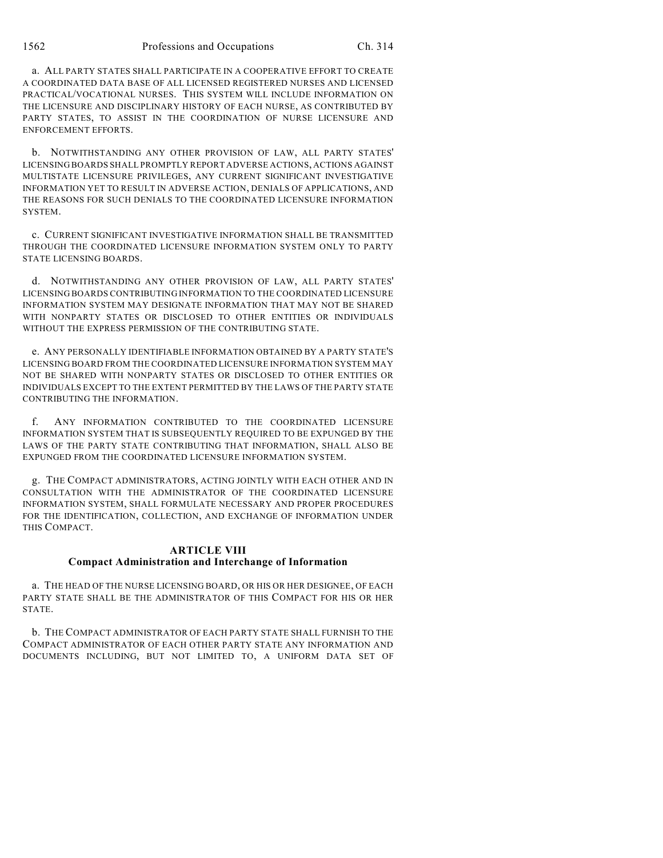a. ALL PARTY STATES SHALL PARTICIPATE IN A COOPERATIVE EFFORT TO CREATE A COORDINATED DATA BASE OF ALL LICENSED REGISTERED NURSES AND LICENSED PRACTICAL/VOCATIONAL NURSES. THIS SYSTEM WILL INCLUDE INFORMATION ON THE LICENSURE AND DISCIPLINARY HISTORY OF EACH NURSE, AS CONTRIBUTED BY PARTY STATES, TO ASSIST IN THE COORDINATION OF NURSE LICENSURE AND ENFORCEMENT EFFORTS.

b. NOTWITHSTANDING ANY OTHER PROVISION OF LAW, ALL PARTY STATES' LICENSING BOARDS SHALL PROMPTLY REPORT ADVERSE ACTIONS, ACTIONS AGAINST MULTISTATE LICENSURE PRIVILEGES, ANY CURRENT SIGNIFICANT INVESTIGATIVE INFORMATION YET TO RESULT IN ADVERSE ACTION, DENIALS OF APPLICATIONS, AND THE REASONS FOR SUCH DENIALS TO THE COORDINATED LICENSURE INFORMATION SYSTEM.

c. CURRENT SIGNIFICANT INVESTIGATIVE INFORMATION SHALL BE TRANSMITTED THROUGH THE COORDINATED LICENSURE INFORMATION SYSTEM ONLY TO PARTY STATE LICENSING BOARDS.

d. NOTWITHSTANDING ANY OTHER PROVISION OF LAW, ALL PARTY STATES' LICENSING BOARDS CONTRIBUTING INFORMATION TO THE COORDINATED LICENSURE INFORMATION SYSTEM MAY DESIGNATE INFORMATION THAT MAY NOT BE SHARED WITH NONPARTY STATES OR DISCLOSED TO OTHER ENTITIES OR INDIVIDUALS WITHOUT THE EXPRESS PERMISSION OF THE CONTRIBUTING STATE.

e. ANY PERSONALLY IDENTIFIABLE INFORMATION OBTAINED BY A PARTY STATE'S LICENSING BOARD FROM THE COORDINATED LICENSURE INFORMATION SYSTEM MAY NOT BE SHARED WITH NONPARTY STATES OR DISCLOSED TO OTHER ENTITIES OR INDIVIDUALS EXCEPT TO THE EXTENT PERMITTED BY THE LAWS OF THE PARTY STATE CONTRIBUTING THE INFORMATION.

f. ANY INFORMATION CONTRIBUTED TO THE COORDINATED LICENSURE INFORMATION SYSTEM THAT IS SUBSEQUENTLY REQUIRED TO BE EXPUNGED BY THE LAWS OF THE PARTY STATE CONTRIBUTING THAT INFORMATION, SHALL ALSO BE EXPUNGED FROM THE COORDINATED LICENSURE INFORMATION SYSTEM.

g. THE COMPACT ADMINISTRATORS, ACTING JOINTLY WITH EACH OTHER AND IN CONSULTATION WITH THE ADMINISTRATOR OF THE COORDINATED LICENSURE INFORMATION SYSTEM, SHALL FORMULATE NECESSARY AND PROPER PROCEDURES FOR THE IDENTIFICATION, COLLECTION, AND EXCHANGE OF INFORMATION UNDER THIS COMPACT.

#### **ARTICLE VIII Compact Administration and Interchange of Information**

a. THE HEAD OF THE NURSE LICENSING BOARD, OR HIS OR HER DESIGNEE, OF EACH PARTY STATE SHALL BE THE ADMINISTRATOR OF THIS COMPACT FOR HIS OR HER STATE.

b. THE COMPACT ADMINISTRATOR OF EACH PARTY STATE SHALL FURNISH TO THE COMPACT ADMINISTRATOR OF EACH OTHER PARTY STATE ANY INFORMATION AND DOCUMENTS INCLUDING, BUT NOT LIMITED TO, A UNIFORM DATA SET OF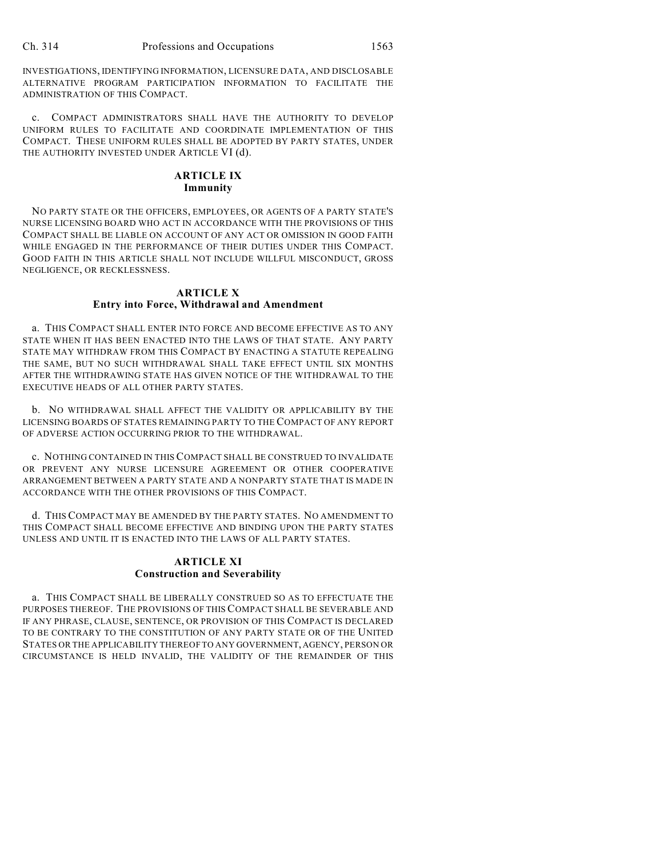INVESTIGATIONS, IDENTIFYING INFORMATION, LICENSURE DATA, AND DISCLOSABLE ALTERNATIVE PROGRAM PARTICIPATION INFORMATION TO FACILITATE THE ADMINISTRATION OF THIS COMPACT.

c. COMPACT ADMINISTRATORS SHALL HAVE THE AUTHORITY TO DEVELOP UNIFORM RULES TO FACILITATE AND COORDINATE IMPLEMENTATION OF THIS COMPACT. THESE UNIFORM RULES SHALL BE ADOPTED BY PARTY STATES, UNDER THE AUTHORITY INVESTED UNDER ARTICLE VI (d).

## **ARTICLE IX Immunity**

NO PARTY STATE OR THE OFFICERS, EMPLOYEES, OR AGENTS OF A PARTY STATE'S NURSE LICENSING BOARD WHO ACT IN ACCORDANCE WITH THE PROVISIONS OF THIS COMPACT SHALL BE LIABLE ON ACCOUNT OF ANY ACT OR OMISSION IN GOOD FAITH WHILE ENGAGED IN THE PERFORMANCE OF THEIR DUTIES UNDER THIS COMPACT. GOOD FAITH IN THIS ARTICLE SHALL NOT INCLUDE WILLFUL MISCONDUCT, GROSS NEGLIGENCE, OR RECKLESSNESS.

## **ARTICLE X Entry into Force, Withdrawal and Amendment**

a. THIS COMPACT SHALL ENTER INTO FORCE AND BECOME EFFECTIVE AS TO ANY STATE WHEN IT HAS BEEN ENACTED INTO THE LAWS OF THAT STATE. ANY PARTY STATE MAY WITHDRAW FROM THIS COMPACT BY ENACTING A STATUTE REPEALING THE SAME, BUT NO SUCH WITHDRAWAL SHALL TAKE EFFECT UNTIL SIX MONTHS AFTER THE WITHDRAWING STATE HAS GIVEN NOTICE OF THE WITHDRAWAL TO THE EXECUTIVE HEADS OF ALL OTHER PARTY STATES.

b. NO WITHDRAWAL SHALL AFFECT THE VALIDITY OR APPLICABILITY BY THE LICENSING BOARDS OF STATES REMAINING PARTY TO THE COMPACT OF ANY REPORT OF ADVERSE ACTION OCCURRING PRIOR TO THE WITHDRAWAL.

c. NOTHING CONTAINED IN THIS COMPACT SHALL BE CONSTRUED TO INVALIDATE OR PREVENT ANY NURSE LICENSURE AGREEMENT OR OTHER COOPERATIVE ARRANGEMENT BETWEEN A PARTY STATE AND A NONPARTY STATE THAT IS MADE IN ACCORDANCE WITH THE OTHER PROVISIONS OF THIS COMPACT.

d. THIS COMPACT MAY BE AMENDED BY THE PARTY STATES. NO AMENDMENT TO THIS COMPACT SHALL BECOME EFFECTIVE AND BINDING UPON THE PARTY STATES UNLESS AND UNTIL IT IS ENACTED INTO THE LAWS OF ALL PARTY STATES.

# **ARTICLE XI Construction and Severability**

a. THIS COMPACT SHALL BE LIBERALLY CONSTRUED SO AS TO EFFECTUATE THE PURPOSES THEREOF. THE PROVISIONS OF THIS COMPACT SHALL BE SEVERABLE AND IF ANY PHRASE, CLAUSE, SENTENCE, OR PROVISION OF THIS COMPACT IS DECLARED TO BE CONTRARY TO THE CONSTITUTION OF ANY PARTY STATE OR OF THE UNITED STATES OR THE APPLICABILITY THEREOF TO ANY GOVERNMENT, AGENCY, PERSON OR CIRCUMSTANCE IS HELD INVALID, THE VALIDITY OF THE REMAINDER OF THIS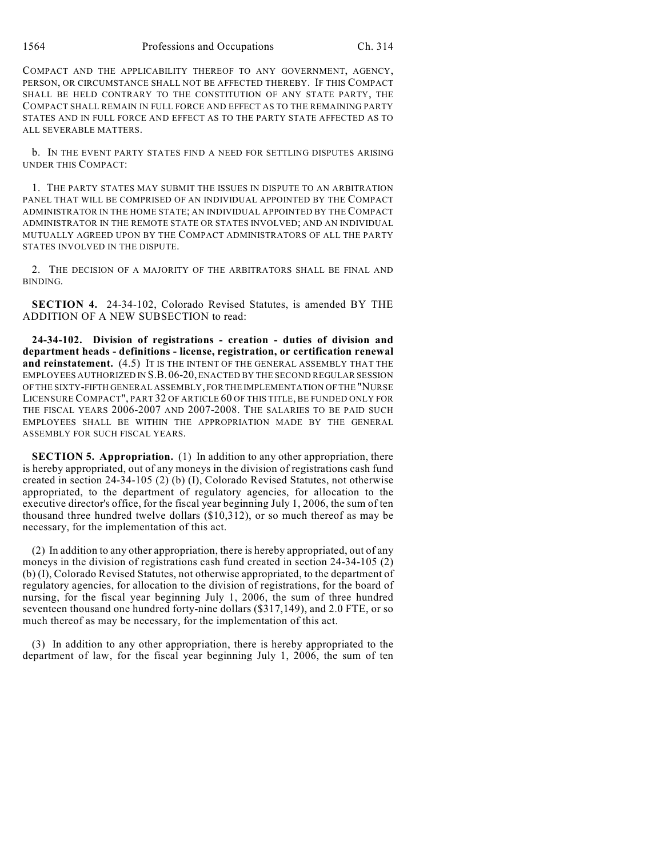COMPACT AND THE APPLICABILITY THEREOF TO ANY GOVERNMENT, AGENCY, PERSON, OR CIRCUMSTANCE SHALL NOT BE AFFECTED THEREBY. IF THIS COMPACT SHALL BE HELD CONTRARY TO THE CONSTITUTION OF ANY STATE PARTY, THE COMPACT SHALL REMAIN IN FULL FORCE AND EFFECT AS TO THE REMAINING PARTY STATES AND IN FULL FORCE AND EFFECT AS TO THE PARTY STATE AFFECTED AS TO ALL SEVERABLE MATTERS.

b. IN THE EVENT PARTY STATES FIND A NEED FOR SETTLING DISPUTES ARISING UNDER THIS COMPACT:

1. THE PARTY STATES MAY SUBMIT THE ISSUES IN DISPUTE TO AN ARBITRATION PANEL THAT WILL BE COMPRISED OF AN INDIVIDUAL APPOINTED BY THE COMPACT ADMINISTRATOR IN THE HOME STATE; AN INDIVIDUAL APPOINTED BY THE COMPACT ADMINISTRATOR IN THE REMOTE STATE OR STATES INVOLVED; AND AN INDIVIDUAL MUTUALLY AGREED UPON BY THE COMPACT ADMINISTRATORS OF ALL THE PARTY STATES INVOLVED IN THE DISPUTE.

2. THE DECISION OF A MAJORITY OF THE ARBITRATORS SHALL BE FINAL AND BINDING.

**SECTION 4.** 24-34-102, Colorado Revised Statutes, is amended BY THE ADDITION OF A NEW SUBSECTION to read:

**24-34-102. Division of registrations - creation - duties of division and department heads - definitions - license, registration, or certification renewal and reinstatement.** (4.5) IT IS THE INTENT OF THE GENERAL ASSEMBLY THAT THE EMPLOYEES AUTHORIZED IN S.B.06-20, ENACTED BY THE SECOND REGULAR SESSION OF THE SIXTY-FIFTH GENERAL ASSEMBLY, FOR THE IMPLEMENTATION OF THE "NURSE LICENSURE COMPACT", PART 32 OF ARTICLE 60 OF THIS TITLE, BE FUNDED ONLY FOR THE FISCAL YEARS 2006-2007 AND 2007-2008. THE SALARIES TO BE PAID SUCH EMPLOYEES SHALL BE WITHIN THE APPROPRIATION MADE BY THE GENERAL ASSEMBLY FOR SUCH FISCAL YEARS.

**SECTION 5. Appropriation.** (1) In addition to any other appropriation, there is hereby appropriated, out of any moneys in the division of registrations cash fund created in section 24-34-105 (2) (b) (I), Colorado Revised Statutes, not otherwise appropriated, to the department of regulatory agencies, for allocation to the executive director's office, for the fiscal year beginning July 1, 2006, the sum of ten thousand three hundred twelve dollars (\$10,312), or so much thereof as may be necessary, for the implementation of this act.

(2) In addition to any other appropriation, there is hereby appropriated, out of any moneys in the division of registrations cash fund created in section 24-34-105 (2) (b) (I), Colorado Revised Statutes, not otherwise appropriated, to the department of regulatory agencies, for allocation to the division of registrations, for the board of nursing, for the fiscal year beginning July 1, 2006, the sum of three hundred seventeen thousand one hundred forty-nine dollars (\$317,149), and 2.0 FTE, or so much thereof as may be necessary, for the implementation of this act.

(3) In addition to any other appropriation, there is hereby appropriated to the department of law, for the fiscal year beginning July 1, 2006, the sum of ten